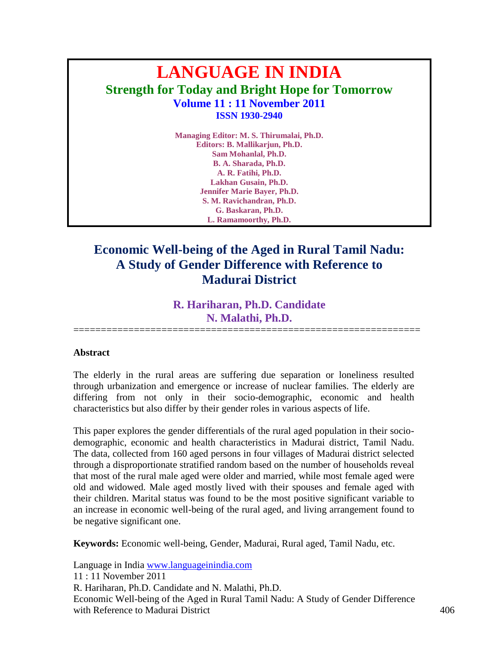# **LANGUAGE IN INDIA Strength for Today and Bright Hope for Tomorrow Volume 11 : 11 November 2011 ISSN 1930-2940**

**Managing Editor: M. S. Thirumalai, Ph.D. Editors: B. Mallikarjun, Ph.D. Sam Mohanlal, Ph.D. B. A. Sharada, Ph.D. A. R. Fatihi, Ph.D. Lakhan Gusain, Ph.D. Jennifer Marie Bayer, Ph.D. S. M. Ravichandran, Ph.D. G. Baskaran, Ph.D. L. Ramamoorthy, Ph.D.**

## **Economic Well-being of the Aged in Rural Tamil Nadu: A Study of Gender Difference with Reference to Madurai District**

### **R. Hariharan, Ph.D. Candidate N. Malathi, Ph.D.**

===============================================================

#### **Abstract**

The elderly in the rural areas are suffering due separation or loneliness resulted through urbanization and emergence or increase of nuclear families. The elderly are differing from not only in their socio-demographic, economic and health characteristics but also differ by their gender roles in various aspects of life.

This paper explores the gender differentials of the rural aged population in their sociodemographic, economic and health characteristics in Madurai district, Tamil Nadu. The data, collected from 160 aged persons in four villages of Madurai district selected through a disproportionate stratified random based on the number of households reveal that most of the rural male aged were older and married, while most female aged were old and widowed. Male aged mostly lived with their spouses and female aged with their children. Marital status was found to be the most positive significant variable to an increase in economic well-being of the rural aged, and living arrangement found to be negative significant one.

**Keywords:** Economic well-being, Gender, Madurai, Rural aged, Tamil Nadu, etc.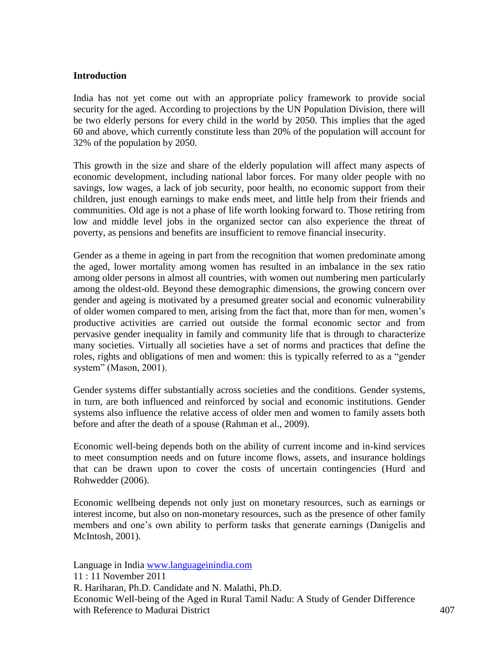#### **Introduction**

India has not yet come out with an appropriate policy framework to provide social security for the aged. According to projections by the UN Population Division, there will be two elderly persons for every child in the world by 2050. This implies that the aged 60 and above, which currently constitute less than 20% of the population will account for 32% of the population by 2050.

This growth in the size and share of the elderly population will affect many aspects of economic development, including national labor forces. For many older people with no savings, low wages, a lack of job security, poor health, no economic support from their children, just enough earnings to make ends meet, and little help from their friends and communities. Old age is not a phase of life worth looking forward to. Those retiring from low and middle level jobs in the organized sector can also experience the threat of poverty, as pensions and benefits are insufficient to remove financial insecurity.

Gender as a theme in ageing in part from the recognition that women predominate among the aged, lower mortality among women has resulted in an imbalance in the sex ratio among older persons in almost all countries, with women out numbering men particularly among the oldest-old. Beyond these demographic dimensions, the growing concern over gender and ageing is motivated by a presumed greater social and economic vulnerability of older women compared to men, arising from the fact that, more than for men, women's productive activities are carried out outside the formal economic sector and from pervasive gender inequality in family and community life that is through to characterize many societies. Virtually all societies have a set of norms and practices that define the roles, rights and obligations of men and women: this is typically referred to as a "gender system" (Mason, 2001).

Gender systems differ substantially across societies and the conditions. Gender systems, in turn, are both influenced and reinforced by social and economic institutions. Gender systems also influence the relative access of older men and women to family assets both before and after the death of a spouse (Rahman et al., 2009).

Economic well-being depends both on the ability of current income and in-kind services to meet consumption needs and on future income flows, assets, and insurance holdings that can be drawn upon to cover the costs of uncertain contingencies (Hurd and Rohwedder (2006).

Economic wellbeing depends not only just on monetary resources, such as earnings or interest income, but also on non-monetary resources, such as the presence of other family members and one's own ability to perform tasks that generate earnings (Danigelis and McIntosh, 2001).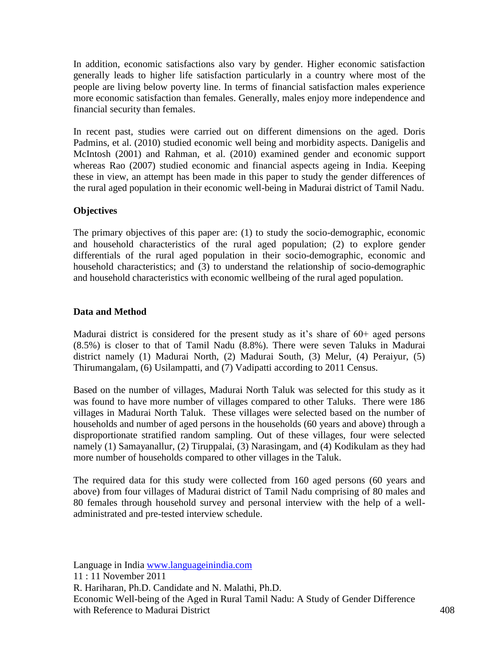In addition, economic satisfactions also vary by gender. Higher economic satisfaction generally leads to higher life satisfaction particularly in a country where most of the people are living below poverty line. In terms of financial satisfaction males experience more economic satisfaction than females. Generally, males enjoy more independence and financial security than females.

In recent past, studies were carried out on different dimensions on the aged. Doris Padmins, et al. (2010) studied economic well being and morbidity aspects. Danigelis and McIntosh (2001) and Rahman, et al. (2010) examined gender and economic support whereas Rao (2007) studied economic and financial aspects ageing in India. Keeping these in view, an attempt has been made in this paper to study the gender differences of the rural aged population in their economic well-being in Madurai district of Tamil Nadu.

#### **Objectives**

The primary objectives of this paper are: (1) to study the socio-demographic, economic and household characteristics of the rural aged population; (2) to explore gender differentials of the rural aged population in their socio-demographic, economic and household characteristics; and (3) to understand the relationship of socio-demographic and household characteristics with economic wellbeing of the rural aged population.

#### **Data and Method**

Madurai district is considered for the present study as it's share of 60+ aged persons (8.5%) is closer to that of Tamil Nadu (8.8%). There were seven Taluks in Madurai district namely (1) Madurai North, (2) Madurai South, (3) Melur, (4) Peraiyur, (5) Thirumangalam, (6) Usilampatti, and (7) Vadipatti according to 2011 Census.

Based on the number of villages, Madurai North Taluk was selected for this study as it was found to have more number of villages compared to other Taluks. There were 186 villages in Madurai North Taluk. These villages were selected based on the number of households and number of aged persons in the households (60 years and above) through a disproportionate stratified random sampling. Out of these villages, four were selected namely (1) Samayanallur, (2) Tiruppalai, (3) Narasingam, and (4) Kodikulam as they had more number of households compared to other villages in the Taluk.

The required data for this study were collected from 160 aged persons (60 years and above) from four villages of Madurai district of Tamil Nadu comprising of 80 males and 80 females through household survey and personal interview with the help of a welladministrated and pre-tested interview schedule.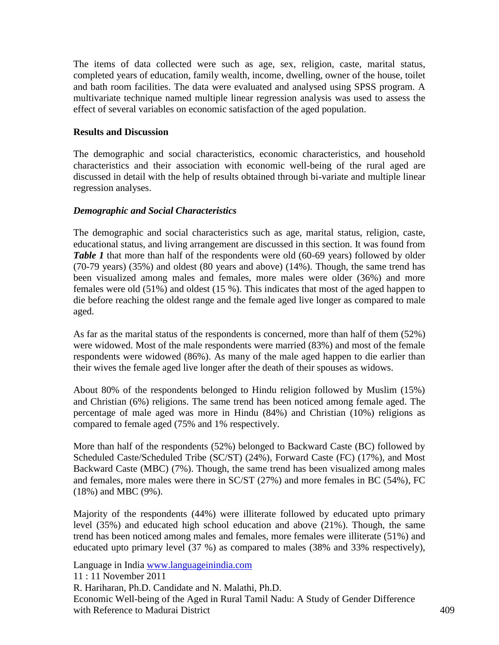The items of data collected were such as age, sex, religion, caste, marital status, completed years of education, family wealth, income, dwelling, owner of the house, toilet and bath room facilities. The data were evaluated and analysed using SPSS program. A multivariate technique named multiple linear regression analysis was used to assess the effect of several variables on economic satisfaction of the aged population.

#### **Results and Discussion**

The demographic and social characteristics, economic characteristics, and household characteristics and their association with economic well-being of the rural aged are discussed in detail with the help of results obtained through bi-variate and multiple linear regression analyses.

#### *Demographic and Social Characteristics*

The demographic and social characteristics such as age, marital status, religion, caste, educational status, and living arrangement are discussed in this section. It was found from *Table 1* that more than half of the respondents were old (60-69 years) followed by older (70-79 years) (35%) and oldest (80 years and above) (14%). Though, the same trend has been visualized among males and females, more males were older (36%) and more females were old (51%) and oldest (15 %). This indicates that most of the aged happen to die before reaching the oldest range and the female aged live longer as compared to male aged.

As far as the marital status of the respondents is concerned, more than half of them (52%) were widowed. Most of the male respondents were married (83%) and most of the female respondents were widowed (86%). As many of the male aged happen to die earlier than their wives the female aged live longer after the death of their spouses as widows.

About 80% of the respondents belonged to Hindu religion followed by Muslim (15%) and Christian (6%) religions. The same trend has been noticed among female aged. The percentage of male aged was more in Hindu (84%) and Christian (10%) religions as compared to female aged (75% and 1% respectively.

More than half of the respondents (52%) belonged to Backward Caste (BC) followed by Scheduled Caste/Scheduled Tribe (SC/ST) (24%), Forward Caste (FC) (17%), and Most Backward Caste (MBC) (7%). Though, the same trend has been visualized among males and females, more males were there in SC/ST (27%) and more females in BC (54%), FC (18%) and MBC (9%).

Majority of the respondents (44%) were illiterate followed by educated upto primary level (35%) and educated high school education and above (21%). Though, the same trend has been noticed among males and females, more females were illiterate (51%) and educated upto primary level (37 %) as compared to males (38% and 33% respectively),

Language in India [www.languageinindia.com](http://www.languageinindia.com/)

11 : 11 November 2011

R. Hariharan, Ph.D. Candidate and N. Malathi, Ph.D.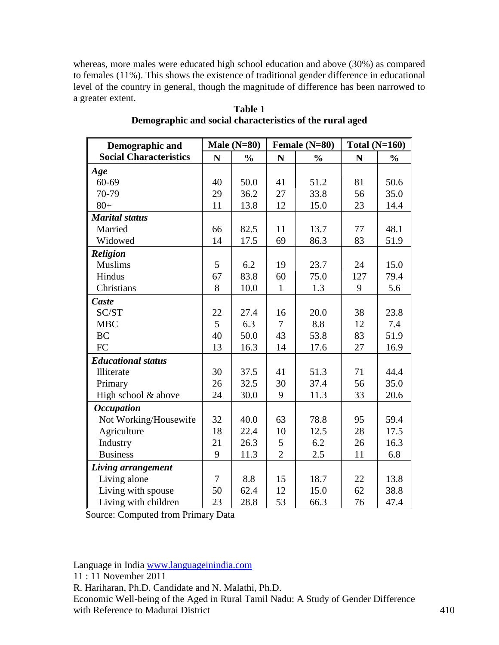whereas, more males were educated high school education and above (30%) as compared to females (11%). This shows the existence of traditional gender difference in educational level of the country in general, though the magnitude of difference has been narrowed to a greater extent.

| Demographic and               |                | Male $(N=80)$<br>Female (N=80) |                | Total $(N=160)$ |             |               |
|-------------------------------|----------------|--------------------------------|----------------|-----------------|-------------|---------------|
| <b>Social Characteristics</b> | N              | $\frac{0}{0}$                  | N              | $\frac{0}{0}$   | $\mathbf N$ | $\frac{0}{0}$ |
| Age                           |                |                                |                |                 |             |               |
| $60 - 69$                     | 40             | 50.0                           | 41             | 51.2            | 81          | 50.6          |
| 70-79                         | 29             | 36.2                           | 27             | 33.8            | 56          | 35.0          |
| $80+$                         | 11             | 13.8                           | 12             | 15.0            | 23          | 14.4          |
| <b>Marital status</b>         |                |                                |                |                 |             |               |
| Married                       | 66             | 82.5                           | 11             | 13.7            | 77          | 48.1          |
| Widowed                       | 14             | 17.5                           | 69             | 86.3            | 83          | 51.9          |
| <b>Religion</b>               |                |                                |                |                 |             |               |
| <b>Muslims</b>                | 5              | 6.2                            | 19             | 23.7            | 24          | 15.0          |
| Hindus                        | 67             | 83.8                           | 60             | 75.0            | 127         | 79.4          |
| Christians                    | 8              | 10.0                           | $\mathbf{1}$   | 1.3             | 9           | 5.6           |
| Caste                         |                |                                |                |                 |             |               |
| SC/ST                         | 22             | 27.4                           | 16             | 20.0            | 38          | 23.8          |
| <b>MBC</b>                    | 5              | 6.3                            | $\overline{7}$ | 8.8             | 12          | 7.4           |
| <b>BC</b>                     | 40             | 50.0                           | 43             | 53.8            | 83          | 51.9          |
| FC                            | 13             | 16.3                           | 14             | 17.6            | 27          | 16.9          |
| <b>Educational status</b>     |                |                                |                |                 |             |               |
| Illiterate                    | 30             | 37.5                           | 41             | 51.3            | 71          | 44.4          |
| Primary                       | 26             | 32.5                           | 30             | 37.4            | 56          | 35.0          |
| High school & above           | 24             | 30.0                           | 9              | 11.3            | 33          | 20.6          |
| <b>Occupation</b>             |                |                                |                |                 |             |               |
| Not Working/Housewife         | 32             | 40.0                           | 63             | 78.8            | 95          | 59.4          |
| Agriculture                   | 18             | 22.4                           | 10             | 12.5            | 28          | 17.5          |
| Industry                      | 21             | 26.3                           | 5              | 6.2             | 26          | 16.3          |
| <b>Business</b>               | 9              | 11.3                           | $\overline{2}$ | 2.5             | 11          | 6.8           |
| Living arrangement            |                |                                |                |                 |             |               |
| Living alone                  | $\overline{7}$ | 8.8                            | 15             | 18.7            | 22          | 13.8          |
| Living with spouse            | 50             | 62.4                           | 12             | 15.0            | 62          | 38.8          |
| Living with children          | 23             | 28.8                           | 53             | 66.3            | 76          | 47.4          |

#### **Table 1 Demographic and social characteristics of the rural aged**

Source: Computed from Primary Data

Language in India [www.languageinindia.com](http://www.languageinindia.com/)

11 : 11 November 2011

R. Hariharan, Ph.D. Candidate and N. Malathi, Ph.D.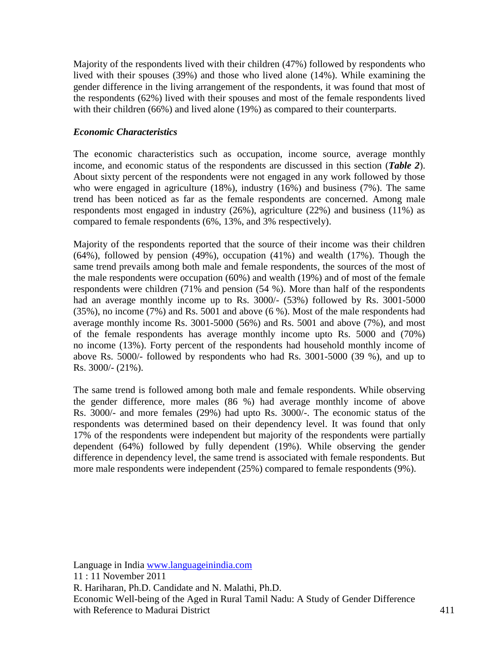Majority of the respondents lived with their children (47%) followed by respondents who lived with their spouses (39%) and those who lived alone (14%). While examining the gender difference in the living arrangement of the respondents, it was found that most of the respondents (62%) lived with their spouses and most of the female respondents lived with their children (66%) and lived alone (19%) as compared to their counterparts.

#### *Economic Characteristics*

The economic characteristics such as occupation, income source, average monthly income, and economic status of the respondents are discussed in this section (*Table 2*). About sixty percent of the respondents were not engaged in any work followed by those who were engaged in agriculture (18%), industry (16%) and business (7%). The same trend has been noticed as far as the female respondents are concerned. Among male respondents most engaged in industry (26%), agriculture (22%) and business (11%) as compared to female respondents (6%, 13%, and 3% respectively).

Majority of the respondents reported that the source of their income was their children (64%), followed by pension (49%), occupation (41%) and wealth (17%). Though the same trend prevails among both male and female respondents, the sources of the most of the male respondents were occupation (60%) and wealth (19%) and of most of the female respondents were children (71% and pension (54 %). More than half of the respondents had an average monthly income up to Rs. 3000/- (53%) followed by Rs. 3001-5000 (35%), no income (7%) and Rs. 5001 and above (6 %). Most of the male respondents had average monthly income Rs. 3001-5000 (56%) and Rs. 5001 and above (7%), and most of the female respondents has average monthly income upto Rs. 5000 and (70%) no income (13%). Forty percent of the respondents had household monthly income of above Rs. 5000/- followed by respondents who had Rs. 3001-5000 (39 %), and up to Rs. 3000/- (21%).

The same trend is followed among both male and female respondents. While observing the gender difference, more males (86 %) had average monthly income of above Rs. 3000/- and more females (29%) had upto Rs. 3000/-. The economic status of the respondents was determined based on their dependency level. It was found that only 17% of the respondents were independent but majority of the respondents were partially dependent (64%) followed by fully dependent (19%). While observing the gender difference in dependency level, the same trend is associated with female respondents. But more male respondents were independent (25%) compared to female respondents (9%).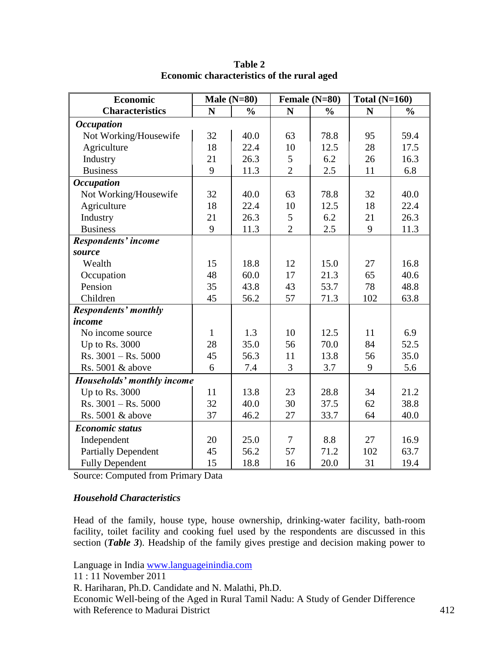| <b>Economic</b>             |              | Male $(N=80)$ | Female (N=80)  |               | Total $(N=160)$ |               |
|-----------------------------|--------------|---------------|----------------|---------------|-----------------|---------------|
| <b>Characteristics</b>      | N            | $\frac{0}{0}$ | N              | $\frac{0}{0}$ | N               | $\frac{0}{0}$ |
| <b>Occupation</b>           |              |               |                |               |                 |               |
| Not Working/Housewife       | 32           | 40.0          | 63             | 78.8          | 95              | 59.4          |
| Agriculture                 | 18           | 22.4          | 10             | 12.5          | 28              | 17.5          |
| Industry                    | 21           | 26.3          | 5              | 6.2           | 26              | 16.3          |
| <b>Business</b>             | 9            | 11.3          | $\overline{2}$ | 2.5           | 11              | 6.8           |
| <b>Occupation</b>           |              |               |                |               |                 |               |
| Not Working/Housewife       | 32           | 40.0          | 63             | 78.8          | 32              | 40.0          |
| Agriculture                 | 18           | 22.4          | 10             | 12.5          | 18              | 22.4          |
| Industry                    | 21           | 26.3          | 5              | 6.2           | 21              | 26.3          |
| <b>Business</b>             | 9            | 11.3          | $\overline{2}$ | 2.5           | 9               | 11.3          |
| Respondents' income         |              |               |                |               |                 |               |
| source                      |              |               |                |               |                 |               |
| Wealth                      | 15           | 18.8          | 12             | 15.0          | 27              | 16.8          |
| Occupation                  | 48           | 60.0          | 17             | 21.3          | 65              | 40.6          |
| Pension                     | 35           | 43.8          | 43             | 53.7          | 78              | 48.8          |
| Children                    | 45           | 56.2          | 57             | 71.3          | 102             | 63.8          |
| <b>Respondents' monthly</b> |              |               |                |               |                 |               |
| income                      |              |               |                |               |                 |               |
| No income source            | $\mathbf{1}$ | 1.3           | 10             | 12.5          | 11              | 6.9           |
| Up to Rs. 3000              | 28           | 35.0          | 56             | 70.0          | 84              | 52.5          |
| $Rs. 3001 - Rs. 5000$       | 45           | 56.3          | 11             | 13.8          | 56              | 35.0          |
| Rs. 5001 & above            | 6            | 7.4           | 3              | 3.7           | 9               | 5.6           |
| Households' monthly income  |              |               |                |               |                 |               |
| Up to Rs. 3000              | 11           | 13.8          | 23             | 28.8          | 34              | 21.2          |
| $Rs. 3001 - Rs. 5000$       | 32           | 40.0          | 30             | 37.5          | 62              | 38.8          |
| Rs. 5001 & above            | 37           | 46.2          | 27             | 33.7          | 64              | 40.0          |
| <b>Economic status</b>      |              |               |                |               |                 |               |
| Independent                 | 20           | 25.0          | 7              | 8.8           | 27              | 16.9          |
| <b>Partially Dependent</b>  | 45           | 56.2          | 57             | 71.2          | 102             | 63.7          |
| <b>Fully Dependent</b>      | 15           | 18.8          | 16             | 20.0          | 31              | 19.4          |

**Table 2 Economic characteristics of the rural aged**

Source: Computed from Primary Data

#### *Household Characteristics*

Head of the family, house type, house ownership, drinking-water facility, bath-room facility, toilet facility and cooking fuel used by the respondents are discussed in this section (*Table 3*). Headship of the family gives prestige and decision making power to

Language in India [www.languageinindia.com](http://www.languageinindia.com/)

11 : 11 November 2011

R. Hariharan, Ph.D. Candidate and N. Malathi, Ph.D.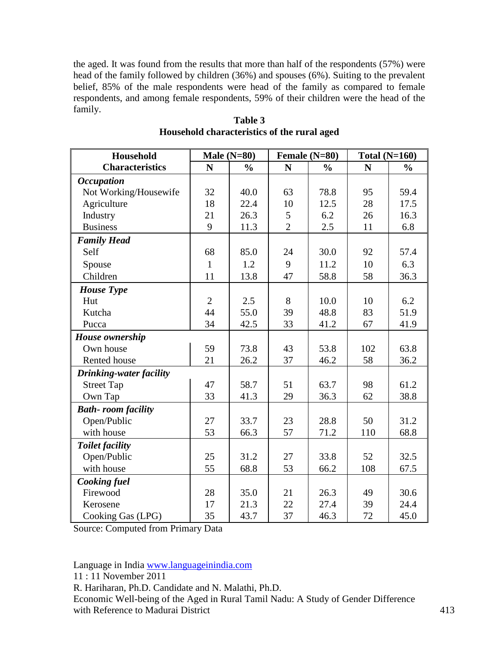the aged. It was found from the results that more than half of the respondents (57%) were head of the family followed by children (36%) and spouses (6%). Suiting to the prevalent belief, 85% of the male respondents were head of the family as compared to female respondents, and among female respondents, 59% of their children were the head of the family.

| <b>Household</b>          | Male $(N=80)$<br>Female (N=80) |               |                | Total $(N=160)$ |             |               |
|---------------------------|--------------------------------|---------------|----------------|-----------------|-------------|---------------|
| <b>Characteristics</b>    | $\mathbf N$                    | $\frac{0}{0}$ | ${\bf N}$      | $\frac{0}{0}$   | $\mathbf N$ | $\frac{0}{0}$ |
| <b>Occupation</b>         |                                |               |                |                 |             |               |
| Not Working/Housewife     | 32                             | 40.0          | 63             | 78.8            | 95          | 59.4          |
| Agriculture               | 18                             | 22.4          | 10             | 12.5            | 28          | 17.5          |
| Industry                  | 21                             | 26.3          | 5              | 6.2             | 26          | 16.3          |
| <b>Business</b>           | 9                              | 11.3          | $\overline{2}$ | 2.5             | 11          | 6.8           |
| <b>Family Head</b>        |                                |               |                |                 |             |               |
| Self                      | 68                             | 85.0          | 24             | 30.0            | 92          | 57.4          |
| Spouse                    | $\mathbf{1}$                   | 1.2           | 9              | 11.2            | 10          | 6.3           |
| Children                  | 11                             | 13.8          | 47             | 58.8            | 58          | 36.3          |
| <b>House Type</b>         |                                |               |                |                 |             |               |
| Hut                       | $\overline{2}$                 | 2.5           | 8              | 10.0            | 10          | 6.2           |
| Kutcha                    | 44                             | 55.0          | 39             | 48.8            | 83          | 51.9          |
| Pucca                     | 34                             | 42.5          | 33             | 41.2            | 67          | 41.9          |
| <b>House</b> ownership    |                                |               |                |                 |             |               |
| Own house                 | 59                             | 73.8          | 43             | 53.8            | 102         | 63.8          |
| Rented house              | 21                             | 26.2          | 37             | 46.2            | 58          | 36.2          |
| Drinking-water facility   |                                |               |                |                 |             |               |
| <b>Street Tap</b>         | 47                             | 58.7          | 51             | 63.7            | 98          | 61.2          |
| Own Tap                   | 33                             | 41.3          | 29             | 36.3            | 62          | 38.8          |
| <b>Bath-room facility</b> |                                |               |                |                 |             |               |
| Open/Public               | 27                             | 33.7          | 23             | 28.8            | 50          | 31.2          |
| with house                | 53                             | 66.3          | 57             | 71.2            | 110         | 68.8          |
| <b>Toilet facility</b>    |                                |               |                |                 |             |               |
| Open/Public               | 25                             | 31.2          | 27             | 33.8            | 52          | 32.5          |
| with house                | 55                             | 68.8          | 53             | 66.2            | 108         | 67.5          |
| Cooking fuel              |                                |               |                |                 |             |               |
| Firewood                  | 28                             | 35.0          | 21             | 26.3            | 49          | 30.6          |
| Kerosene                  | 17                             | 21.3          | 22             | 27.4            | 39          | 24.4          |
| Cooking Gas (LPG)         | 35                             | 43.7          | 37             | 46.3            | 72          | 45.0          |

**Table 3 Household characteristics of the rural aged**

Source: Computed from Primary Data

Language in India [www.languageinindia.com](http://www.languageinindia.com/)

11 : 11 November 2011

R. Hariharan, Ph.D. Candidate and N. Malathi, Ph.D.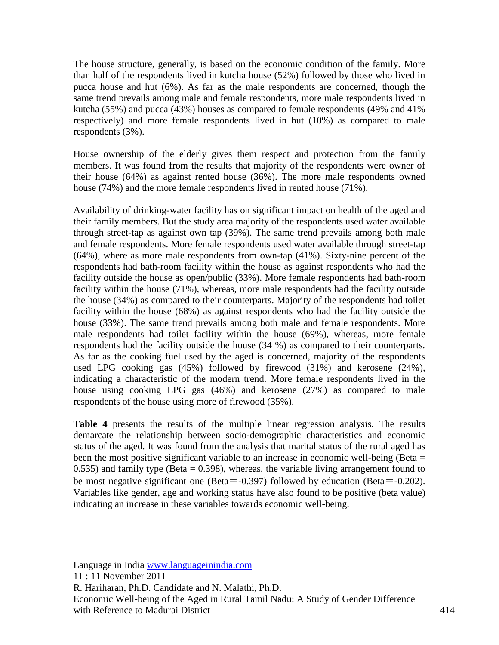The house structure, generally, is based on the economic condition of the family. More than half of the respondents lived in kutcha house (52%) followed by those who lived in pucca house and hut (6%). As far as the male respondents are concerned, though the same trend prevails among male and female respondents, more male respondents lived in kutcha (55%) and pucca (43%) houses as compared to female respondents (49% and 41% respectively) and more female respondents lived in hut (10%) as compared to male respondents (3%).

House ownership of the elderly gives them respect and protection from the family members. It was found from the results that majority of the respondents were owner of their house (64%) as against rented house (36%). The more male respondents owned house (74%) and the more female respondents lived in rented house (71%).

Availability of drinking-water facility has on significant impact on health of the aged and their family members. But the study area majority of the respondents used water available through street-tap as against own tap (39%). The same trend prevails among both male and female respondents. More female respondents used water available through street-tap (64%), where as more male respondents from own-tap (41%). Sixty-nine percent of the respondents had bath-room facility within the house as against respondents who had the facility outside the house as open/public (33%). More female respondents had bath-room facility within the house (71%), whereas, more male respondents had the facility outside the house (34%) as compared to their counterparts. Majority of the respondents had toilet facility within the house (68%) as against respondents who had the facility outside the house (33%). The same trend prevails among both male and female respondents. More male respondents had toilet facility within the house (69%), whereas, more female respondents had the facility outside the house (34 %) as compared to their counterparts. As far as the cooking fuel used by the aged is concerned, majority of the respondents used LPG cooking gas (45%) followed by firewood (31%) and kerosene (24%), indicating a characteristic of the modern trend. More female respondents lived in the house using cooking LPG gas (46%) and kerosene (27%) as compared to male respondents of the house using more of firewood (35%).

**Table 4** presents the results of the multiple linear regression analysis. The results demarcate the relationship between socio-demographic characteristics and economic status of the aged. It was found from the analysis that marital status of the rural aged has been the most positive significant variable to an increase in economic well-being (Beta  $=$  $(0.535)$  and family type (Beta =  $(0.398)$ , whereas, the variable living arrangement found to be most negative significant one (Beta=-0.397) followed by education (Beta=-0.202). Variables like gender, age and working status have also found to be positive (beta value) indicating an increase in these variables towards economic well-being.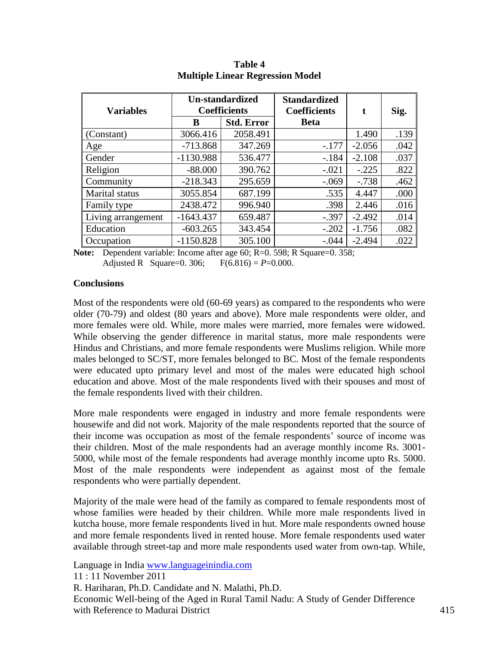| <b>Variables</b>   |             | <b>Un-standardized</b><br><b>Coefficients</b> | <b>Standardized</b><br><b>Coefficients</b> | t        | Sig. |
|--------------------|-------------|-----------------------------------------------|--------------------------------------------|----------|------|
|                    | B           | <b>Std. Error</b>                             | <b>Beta</b>                                |          |      |
| (Constant)         | 3066.416    | 2058.491                                      |                                            | 1.490    | .139 |
| Age                | $-713.868$  | 347.269                                       | $-.177$                                    | $-2.056$ | .042 |
| Gender             | $-1130.988$ | 536.477                                       | $-.184$                                    | $-2.108$ | .037 |
| Religion           | $-88.000$   | 390.762                                       | $-.021$                                    | $-.225$  | .822 |
| Community          | $-218.343$  | 295.659                                       | $-.069$                                    | $-.738$  | .462 |
| Marital status     | 3055.854    | 687.199                                       | .535                                       | 4.447    | .000 |
| Family type        | 2438.472    | 996.940                                       | .398                                       | 2.446    | .016 |
| Living arrangement | $-1643.437$ | 659.487                                       | $-.397$                                    | $-2.492$ | .014 |
| Education          | $-603.265$  | 343.454                                       | $-.202$                                    | $-1.756$ | .082 |
| Occupation         | $-1150.828$ | 305.100                                       | $-.044$                                    | $-2.494$ | .022 |

**Table 4 Multiple Linear Regression Model**

**Note:** Dependent variable: Income after age 60; R=0. 598; R Square=0. 358; Adjusted R Square=0. 306;  $F(6.816) = P=0.000$ .

#### **Conclusions**

Most of the respondents were old (60-69 years) as compared to the respondents who were older (70-79) and oldest (80 years and above). More male respondents were older, and more females were old. While, more males were married, more females were widowed. While observing the gender difference in marital status, more male respondents were Hindus and Christians, and more female respondents were Muslims religion. While more males belonged to SC/ST, more females belonged to BC. Most of the female respondents were educated upto primary level and most of the males were educated high school education and above. Most of the male respondents lived with their spouses and most of the female respondents lived with their children.

More male respondents were engaged in industry and more female respondents were housewife and did not work. Majority of the male respondents reported that the source of their income was occupation as most of the female respondents' source of income was their children. Most of the male respondents had an average monthly income Rs. 3001- 5000, while most of the female respondents had average monthly income upto Rs. 5000. Most of the male respondents were independent as against most of the female respondents who were partially dependent.

Majority of the male were head of the family as compared to female respondents most of whose families were headed by their children. While more male respondents lived in kutcha house, more female respondents lived in hut. More male respondents owned house and more female respondents lived in rented house. More female respondents used water available through street-tap and more male respondents used water from own-tap. While,

Language in India [www.languageinindia.com](http://www.languageinindia.com/)

11 : 11 November 2011 R. Hariharan, Ph.D. Candidate and N. Malathi, Ph.D. Economic Well-being of the Aged in Rural Tamil Nadu: A Study of Gender Difference with Reference to Madurai District 415